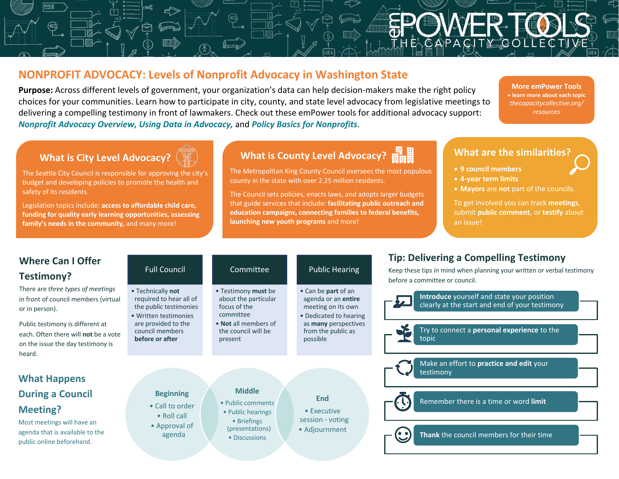## **NONPROFIT ADVOCACY: Levels of Nonprofit Advocacy in Washington State**

**Purpose:** Across different levels of government, your organization's data can help decision-makers make the right policy choices for your communities. Learn how to participate in city, county, and state level advocacy from legislative meetings to delivering a compelling testimony in front of lawmakers. Check out these emPower tools for additional advocacy support: *Nonprofit Advocacy Overview, Using Data in Advocacy,* and *Policy Basics for Nonprofits*.

**More emPower Tools + learn more about each topic** *thecapacitycollective.org/ resources*

### **What is City Level Advocacy?**

The Seattle City Council is responsible for approving the city's budget and developing policies to promote the health and safety of its residents.

Legislation topics include: **access to affordable child care, funding for quality early learning opportunities, assessing family's needs in the community,** and many more!

# **What is County Level Advocacy?**  $\frac{H}{H}$

The Metropolitan King County Council oversees the most populous county in the state with over 2.25 million residents.

The Council sets policies, enacts laws, and adopts larger budgets that guide services that include: **facilitating public outreach and education campaigns, connecting families to federal benefits, launching new youth programs** and more!

#### **What are the similarities?**

- **9 council members**
- **4-year term limits**
- **Mayors** are **not** part of the councils.

To get involved you can track **meetings**, submit **public comment**, or **testify** about an issue!

| <b>Where Can I Offer</b><br>Testimony?                                                                        | <b>Full Council</b>                                                                             | Committee                                                                | <b>Public Hearing</b>                                                                      | <b>Tip: Delivering a Compelling Testimony</b><br>Keep these tips in mind when planning your written or verbal testimony<br>before a committee or council. |  |  |
|---------------------------------------------------------------------------------------------------------------|-------------------------------------------------------------------------------------------------|--------------------------------------------------------------------------|--------------------------------------------------------------------------------------------|-----------------------------------------------------------------------------------------------------------------------------------------------------------|--|--|
| There are three types of meetings<br>in front of council members (virtual<br>or in person).                   | • Technically not<br>required to hear all of<br>the public testimonies<br>• Written testimonies | • Testimony must be<br>about the particular<br>focus of the<br>committee | • Can be part of an<br>agenda or an entire<br>meeting on its own<br>• Dedicated to hearing | Introduce yourself and state your position<br>clearly at the start and end of your testimony                                                              |  |  |
| Public testimony is different at<br>each. Often there will not be a vote<br>on the issue the day testimony is | are provided to the<br>council members<br>before or after                                       | • Not all members of<br>the council will be<br>present                   | as <b>many</b> perspectives<br>from the public as<br>possible                              | Try to connect a personal experience to the<br>topic                                                                                                      |  |  |
| heard.<br><b>What Happens</b>                                                                                 |                                                                                                 |                                                                          |                                                                                            | Make an effort to practice and edit your<br>testimony                                                                                                     |  |  |
| <b>During a Council</b>                                                                                       | <b>Beginning</b>                                                                                | <b>Middle</b><br>• Public comments                                       | <b>End</b>                                                                                 | Remember there is a time or word limit                                                                                                                    |  |  |
| <b>Meeting?</b><br>Most meetings will have an<br>agenda that is available to the<br>public online beforehand. | • Call to order<br>$\bullet$ Roll call<br>• Approval of<br>agenda                               | • Public hearings<br>• Briefings<br>(presentations)<br>• Discussions     | $\bullet$ Executive<br>session - voting<br>• Adjournment                                   | Thank the council members for their time                                                                                                                  |  |  |